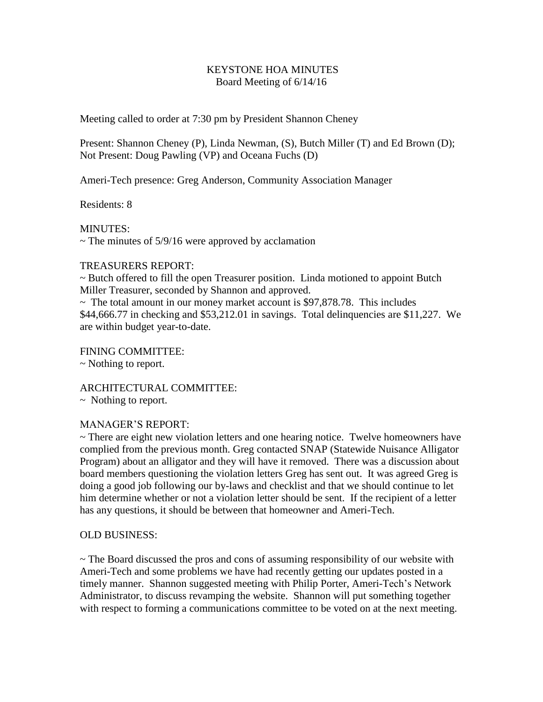## KEYSTONE HOA MINUTES Board Meeting of 6/14/16

Meeting called to order at 7:30 pm by President Shannon Cheney

Present: Shannon Cheney (P), Linda Newman, (S), Butch Miller (T) and Ed Brown (D); Not Present: Doug Pawling (VP) and Oceana Fuchs (D)

Ameri-Tech presence: Greg Anderson, Community Association Manager

Residents: 8

MINUTES:

 $\sim$  The minutes of 5/9/16 were approved by acclamation

## TREASURERS REPORT:

~ Butch offered to fill the open Treasurer position. Linda motioned to appoint Butch Miller Treasurer, seconded by Shannon and approved.

 $\sim$  The total amount in our money market account is \$97,878.78. This includes \$44,666.77 in checking and \$53,212.01 in savings. Total delinquencies are \$11,227. We are within budget year-to-date.

FINING COMMITTEE: ~ Nothing to report.

ARCHITECTURAL COMMITTEE:

~ Nothing to report.

## MANAGER'S REPORT:

~ There are eight new violation letters and one hearing notice. Twelve homeowners have complied from the previous month. Greg contacted SNAP (Statewide Nuisance Alligator Program) about an alligator and they will have it removed. There was a discussion about board members questioning the violation letters Greg has sent out. It was agreed Greg is doing a good job following our by-laws and checklist and that we should continue to let him determine whether or not a violation letter should be sent. If the recipient of a letter has any questions, it should be between that homeowner and Ameri-Tech.

## OLD BUSINESS:

~ The Board discussed the pros and cons of assuming responsibility of our website with Ameri-Tech and some problems we have had recently getting our updates posted in a timely manner. Shannon suggested meeting with Philip Porter, Ameri-Tech's Network Administrator, to discuss revamping the website. Shannon will put something together with respect to forming a communications committee to be voted on at the next meeting.